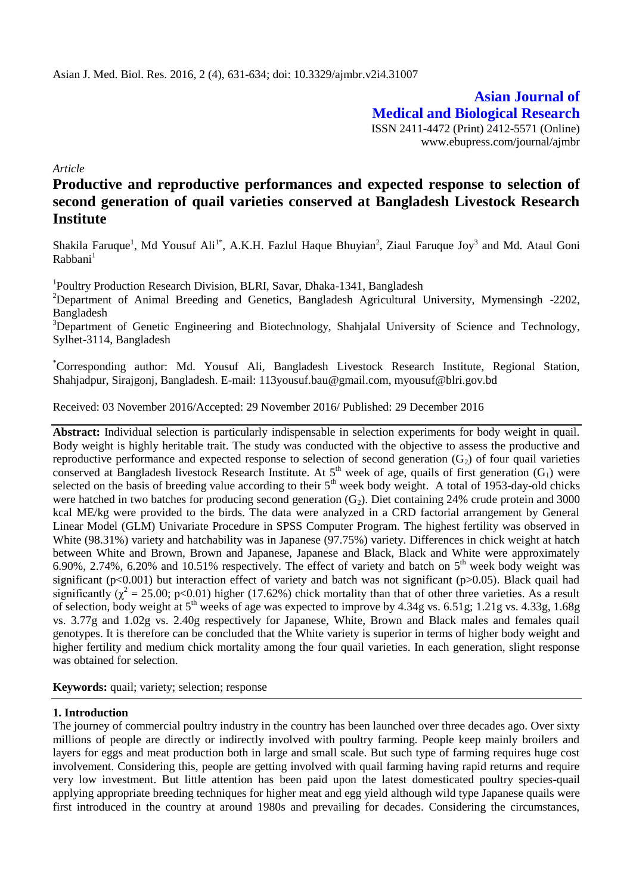**Asian Journal of Medical and Biological Research** ISSN 2411-4472 (Print) 2412-5571 (Online) www.ebupress.com/journal/ajmbr

*Article*

# **Productive and reproductive performances and expected response to selection of second generation of quail varieties conserved at Bangladesh Livestock Research Institute**

Shakila Faruque<sup>1</sup>, Md Yousuf Ali<sup>1\*</sup>, A.K.H. Fazlul Haque Bhuyian<sup>2</sup>, Ziaul Faruque Joy<sup>3</sup> and Md. Ataul Goni Rabhani<sup>1</sup>

<sup>1</sup>Poultry Production Research Division, BLRI, Savar, Dhaka-1341, Bangladesh

<sup>2</sup>Department of Animal Breeding and Genetics, Bangladesh Agricultural University, Mymensingh -2202, Bangladesh

<sup>3</sup>Department of Genetic Engineering and Biotechnology, Shahjalal University of Science and Technology, Sylhet-3114, Bangladesh

\*Corresponding author: Md. Yousuf Ali, Bangladesh Livestock Research Institute, Regional Station, Shahjadpur, Sirajgonj, Bangladesh. E-mail[: 113yousuf.bau@gmail.com,](mailto:113yousuf.bau@gmail.com) myousuf@blri.gov.bd

Received: 03 November 2016/Accepted: 29 November 2016/ Published: 29 December 2016

**Abstract:** Individual selection is particularly indispensable in selection experiments for body weight in quail. Body weight is highly heritable trait. The study was conducted with the objective to assess the productive and reproductive performance and expected response to selection of second generation  $(G_2)$  of four quail varieties conserved at Bangladesh livestock Research Institute. At  $5<sup>th</sup>$  week of age, quails of first generation (G<sub>1</sub>) were selected on the basis of breeding value according to their  $5<sup>th</sup>$  week body weight. A total of 1953-day-old chicks were hatched in two batches for producing second generation  $(G_2)$ . Diet containing 24% crude protein and 3000 kcal ME/kg were provided to the birds. The data were analyzed in a CRD factorial arrangement by General Linear Model (GLM) Univariate Procedure in SPSS Computer Program. The highest fertility was observed in White (98.31%) variety and hatchability was in Japanese (97.75%) variety. Differences in chick weight at hatch between White and Brown, Brown and Japanese, Japanese and Black, Black and White were approximately 6.90%, 2.74%, 6.20% and 10.51% respectively. The effect of variety and batch on  $5<sup>th</sup>$  week body weight was significant (p<0.001) but interaction effect of variety and batch was not significant (p>0.05). Black quail had significantly  $(\chi^2 = 25.00; \text{ p} < 0.01)$  higher (17.62%) chick mortality than that of other three varieties. As a result of selection, body weight at  $5<sup>th</sup>$  weeks of age was expected to improve by 4.34g vs. 6.51g; 1.21g vs. 4.33g, 1.68g vs. 3.77g and 1.02g vs. 2.40g respectively for Japanese, White, Brown and Black males and females quail genotypes. It is therefore can be concluded that the White variety is superior in terms of higher body weight and higher fertility and medium chick mortality among the four quail varieties. In each generation, slight response was obtained for selection.

**Keywords:** quail; variety; selection; response

## **1. Introduction**

The journey of commercial poultry industry in the country has been launched over three decades ago. Over sixty millions of people are directly or indirectly involved with poultry farming. People keep mainly broilers and layers for eggs and meat production both in large and small scale. But such type of farming requires huge cost involvement. Considering this, people are getting involved with quail farming having rapid returns and require very low investment. But little attention has been paid upon the latest domesticated poultry species-quail applying appropriate breeding techniques for higher meat and egg yield although wild type Japanese quails were first introduced in the country at around 1980s and prevailing for decades. Considering the circumstances,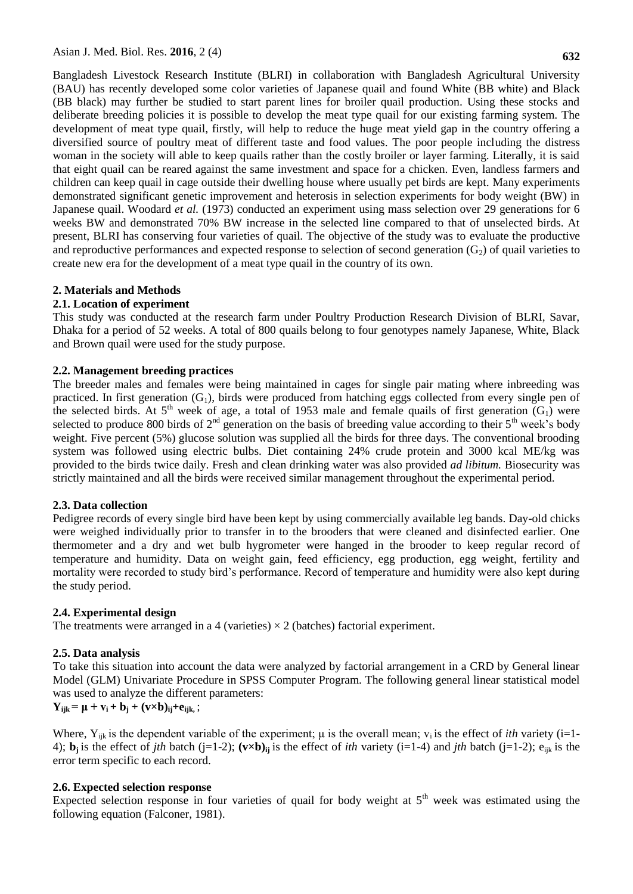Bangladesh Livestock Research Institute (BLRI) in collaboration with Bangladesh Agricultural University (BAU) has recently developed some color varieties of Japanese quail and found White (BB white) and Black (BB black) may further be studied to start parent lines for broiler quail production. Using these stocks and deliberate breeding policies it is possible to develop the meat type quail for our existing farming system. The development of meat type quail, firstly, will help to reduce the huge meat yield gap in the country offering a diversified source of poultry meat of different taste and food values. The poor people including the distress woman in the society will able to keep quails rather than the costly broiler or layer farming. Literally, it is said that eight quail can be reared against the same investment and space for a chicken. Even, landless farmers and children can keep quail in cage outside their dwelling house where usually pet birds are kept. Many experiments demonstrated significant genetic improvement and heterosis in selection experiments for body weight (BW) in Japanese quail. Woodard *et al.* (1973) conducted an experiment using mass selection over 29 generations for 6 weeks BW and demonstrated 70% BW increase in the selected line compared to that of unselected birds. At present, BLRI has conserving four varieties of quail. The objective of the study was to evaluate the productive and reproductive performances and expected response to selection of second generation  $(G_2)$  of quail varieties to create new era for the development of a meat type quail in the country of its own.

# **2. Materials and Methods**

# **2.1. Location of experiment**

This study was conducted at the research farm under Poultry Production Research Division of BLRI, Savar, Dhaka for a period of 52 weeks. A total of 800 quails belong to four genotypes namely Japanese, White, Black and Brown quail were used for the study purpose.

## **2.2. Management breeding practices**

The breeder males and females were being maintained in cages for single pair mating where inbreeding was practiced. In first generation  $(G_1)$ , birds were produced from hatching eggs collected from every single pen of the selected birds. At  $5<sup>th</sup>$  week of age, a total of 1953 male and female quails of first generation  $(G_1)$  were selected to produce 800 birds of  $2<sup>nd</sup>$  generation on the basis of breeding value according to their  $5<sup>th</sup>$  week's body weight. Five percent (5%) glucose solution was supplied all the birds for three days. The conventional brooding system was followed using electric bulbs. Diet containing 24% crude protein and 3000 kcal ME/kg was provided to the birds twice daily. Fresh and clean drinking water was also provided *ad libitum.* Biosecurity was strictly maintained and all the birds were received similar management throughout the experimental period.

## **2.3. Data collection**

Pedigree records of every single bird have been kept by using commercially available leg bands. Day-old chicks were weighed individually prior to transfer in to the brooders that were cleaned and disinfected earlier. One thermometer and a dry and wet bulb hygrometer were hanged in the brooder to keep regular record of temperature and humidity. Data on weight gain, feed efficiency, egg production, egg weight, fertility and mortality were recorded to study bird's performance. Record of temperature and humidity were also kept during the study period.

# **2.4. Experimental design**

The treatments were arranged in a 4 (varieties)  $\times$  2 (batches) factorial experiment.

# **2.5. Data analysis**

To take this situation into account the data were analyzed by factorial arrangement in a CRD by General linear Model (GLM) Univariate Procedure in SPSS Computer Program. The following general linear statistical model was used to analyze the different parameters:

 $Y_{ijk} = \mu + v_i + b_j + (v \times b)_{ij} + e_{ijk}$ ;

Where,  $Y_{ijk}$  is the dependent variable of the experiment;  $\mu$  is the overall mean;  $v_i$  is the effect of *ith* variety (i=1-4); **b**<sub>j</sub> is the effect of *jth* batch (j=1-2);  $(v \times b)_{ij}$  is the effect of *ith* variety (i=1-4) and *jth* batch (j=1-2); e<sub>ijk</sub> is the error term specific to each record.

## **2.6. Expected selection response**

Expected selection response in four varieties of quail for body weight at  $5<sup>th</sup>$  week was estimated using the following equation (Falconer, 1981).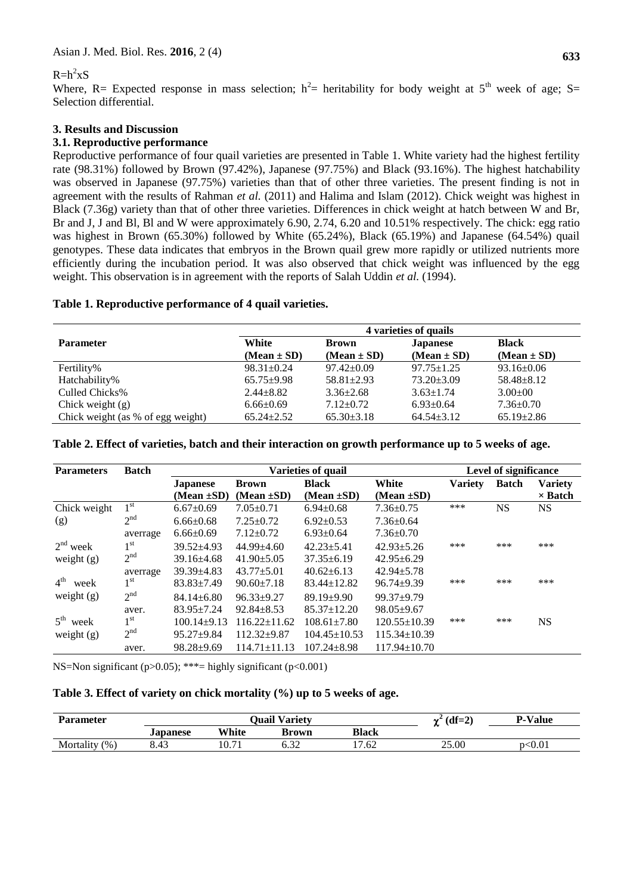# $R=h^2xS$

Where, R= Expected response in mass selection;  $h^2$ = heritability for body weight at 5<sup>th</sup> week of age; S= Selection differential.

### **3. Results and Discussion**

### **3.1. Reproductive performance**

Reproductive performance of four quail varieties are presented in Table 1. White variety had the highest fertility rate (98.31%) followed by Brown (97.42%), Japanese (97.75%) and Black (93.16%). The highest hatchability was observed in Japanese (97.75%) varieties than that of other three varieties. The present finding is not in agreement with the results of Rahman *et al.* (2011) and Halima and Islam (2012). Chick weight was highest in Black (7.36g) variety than that of other three varieties. Differences in chick weight at hatch between W and Br, Br and J, J and Bl, Bl and W were approximately 6.90, 2.74, 6.20 and 10.51% respectively. The chick: egg ratio was highest in Brown (65.30%) followed by White (65.24%), Black (65.19%) and Japanese (64.54%) quail genotypes. These data indicates that embryos in the Brown quail grew more rapidly or utilized nutrients more efficiently during the incubation period. It was also observed that chick weight was influenced by the egg weight. This observation is in agreement with the reports of Salah Uddin *et al.* (1994).

#### **Table 1. Reproductive performance of 4 quail varieties.**

|                                   | 4 varieties of quails |                  |                  |                  |  |
|-----------------------------------|-----------------------|------------------|------------------|------------------|--|
| <b>Parameter</b>                  | White                 | <b>Brown</b>     | <b>Japanese</b>  | <b>Black</b>     |  |
|                                   | $(Mean \pm SD)$       | $(Mean \pm SD)$  | $(Mean \pm SD)$  | $(Mean \pm SD)$  |  |
| Fertility%                        | $98.31 \pm 0.24$      | $97.42 \pm 0.09$ | $97.75 \pm 1.25$ | $93.16 \pm 0.06$ |  |
| Hatchability%                     | $65.75 \pm 9.98$      | $58.81 \pm 2.93$ | $73.20 \pm 3.09$ | $58.48 \pm 8.12$ |  |
| Culled Chicks%                    | $2.44 + 8.82$         | $3.36 \pm 2.68$  | $3.63 \pm 1.74$  | $3.00 \pm 00$    |  |
| Chick weight $(g)$                | $6.66 \pm 0.69$       | $7.12 \pm 0.72$  | $6.93 \pm 0.64$  | $7.36 \pm 0.70$  |  |
| Chick weight (as % of egg weight) | $65.24 \pm 2.52$      | $65.30 \pm 3.18$ | $64.54 \pm 3.12$ | $65.19 \pm 2.86$ |  |

#### **Table 2. Effect of varieties, batch and their interaction on growth performance up to 5 weeks of age.**

| <b>Parameters</b>       | <b>Batch</b>    | <b>Varieties of quail</b> |                    |                    |                    |                | Level of significance |                |  |
|-------------------------|-----------------|---------------------------|--------------------|--------------------|--------------------|----------------|-----------------------|----------------|--|
|                         |                 | <b>Japanese</b>           | <b>Brown</b>       | <b>Black</b>       | White              | <b>Variety</b> | <b>Batch</b>          | <b>Variety</b> |  |
|                         |                 | $(Mean \pm SD)$           | (Mean $\pm SD$ )   | (Mean $\pm SD$ )   | $(Mean \pm SD)$    |                |                       | $\times$ Batch |  |
| Chick weight            | 1 <sup>st</sup> | $6.67 \pm 0.69$           | $7.05 \pm 0.71$    | $6.94 \pm 0.68$    | $7.36 \pm 0.75$    | ***            | NS                    | <b>NS</b>      |  |
| (g)                     | 2 <sup>nd</sup> | $6.66 \pm 0.68$           | $7.25 \pm 0.72$    | $6.92 \pm 0.53$    | $7.36 \pm 0.64$    |                |                       |                |  |
|                         | averrage        | $6.66 \pm 0.69$           | $7.12 \pm 0.72$    | $6.93 \pm 0.64$    | $7.36 \pm 0.70$    |                |                       |                |  |
| $2nd$ week              | 1 <sup>st</sup> | $39.52 + 4.93$            | $44.99 + 4.60$     | $42.23 + 5.41$     | $42.93 \pm 5.26$   | ***            | ***                   | ***            |  |
| weight $(g)$            | 2 <sup>nd</sup> | $39.16 \pm 4.68$          | $41.90 \pm 5.05$   | $37.35 \pm 6.19$   | $42.95 \pm 6.29$   |                |                       |                |  |
|                         | averrage        | $39.39 \pm 4.83$          | $43.77 + 5.01$     | $40.62 \pm 6.13$   | $42.94 + 5.78$     |                |                       |                |  |
| 4 <sup>th</sup><br>week | 1 <sup>st</sup> | $83.83 \pm 7.49$          | $90.60 \pm 7.18$   | $83.44 \pm 12.82$  | $96.74 \pm 9.39$   | ***            | ***                   | ***            |  |
| weight $(g)$            | 2 <sup>nd</sup> | $84.14 + 6.80$            | $96.33 + 9.27$     | $89.19 + 9.90$     | $99.37+9.79$       |                |                       |                |  |
|                         | aver.           | $83.95 \pm 7.24$          | $92.84 + 8.53$     | $85.37 \pm 12.20$  | $98.05 \pm 9.67$   |                |                       |                |  |
| $5^{\text{th}}$<br>week | 1 <sup>st</sup> | $100.14 \pm 9.13$         | $116.22 \pm 11.62$ | $108.61 \pm 7.80$  | $120.55 \pm 10.39$ | ***            | ***                   | <b>NS</b>      |  |
| weight $(g)$            | 2 <sup>nd</sup> | $95.27 \pm 9.84$          | $112.32 \pm 9.87$  | $104.45 \pm 10.53$ | $115.34 \pm 10.39$ |                |                       |                |  |
|                         | aver.           | $98.28 \pm 9.69$          | $114.71 \pm 11.13$ | $107.24 \pm 8.98$  | $117.94 \pm 10.70$ |                |                       |                |  |

NS=Non significant (p>0.05); \*\*\*= highly significant (p<0.001)

## **Table 3. Effect of variety on chick mortality (%) up to 5 weeks of age.**

| <b>Parameter</b>  | <b>Quail Variety</b> |                        |                   |              | $(df=2)$<br>ns" | <b>P-Value</b> |
|-------------------|----------------------|------------------------|-------------------|--------------|-----------------|----------------|
|                   | <b>Japanese</b>      | White                  | Brown             | <b>Black</b> |                 |                |
| Mortality<br>(96) | 8.43                 | 10.7<br>$\overline{ }$ | $\sim$ 22<br>∪.J∠ | 17.62        | 25.00           | p<0.01         |